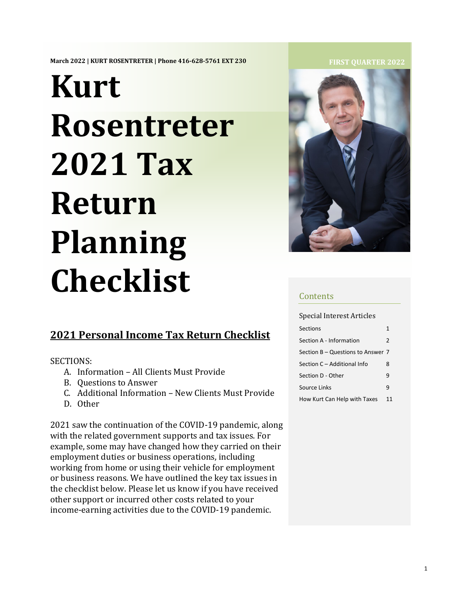**March 2022 | KURT ROSENTRETER | Phone 416-628-5761 EXT 230**

# **Kurt Rosentreter 2021 Tax Return Planning Checklist**

## **2021 Personal Income Tax Return Checklist**

SECTIONS:

- A. Information All Clients Must Provide
- B. Questions to Answer
- C. Additional Information New Clients Must Provide
- D. Other

2021 saw the continuation of the COVID-19 pandemic, along with the related government supports and tax issues. For example, some may have changed how they carried on their employment duties or business operations, including working from home or using their vehicle for employment or business reasons. We have outlined the key tax issues in the checklist below. Please let us know if you have received other support or incurred other costs related to your income-earning activities due to the COVID-19 pandemic.

#### **FIRST QUARTER 2022**



#### **Contents**

Special Interest Articles

| <b>Sections</b>                   | 1              |
|-----------------------------------|----------------|
| Section A - Information           | $\overline{2}$ |
| Section B - Questions to Answer 7 |                |
| Section C – Additional Info       | 8              |
| Section D - Other                 | 9              |
| Source Links                      | 9              |
| How Kurt Can Help with Taxes      | 11             |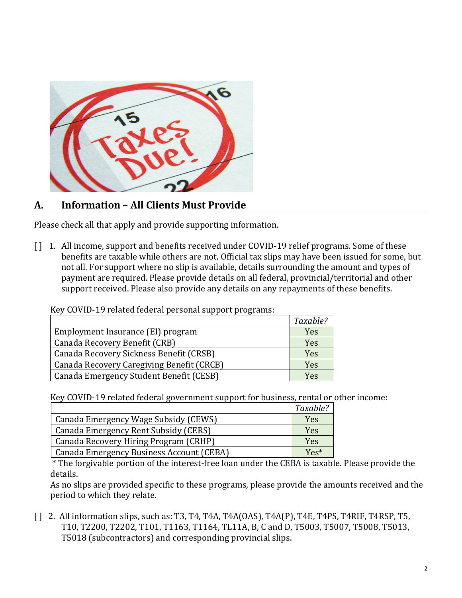

## **A. [Inform](https://www.quoteinspector.com/images/taxes/taxes-due-april-15/)ation – All Clients [Must Pro](https://creativecommons.org/licenses/by-nd/3.0/)vide**

Please check all that apply and provide supporting information.

[ ] 1. All income, support and benefits received under COVID-19 relief programs. Some of these benefits are taxable while others are not. Official tax slips may have been issued for some, but not all. For support where no slip is available, details surrounding the amount and types of payment are required. Please provide details on all federal, provincial/territorial and other support received. Please also provide any details on any repayments of these benefits.

|                                           | Taxable? |
|-------------------------------------------|----------|
| Employment Insurance (EI) program         | Yes      |
| Canada Recovery Benefit (CRB)             | Yes      |
| Canada Recovery Sickness Benefit (CRSB)   | Yes      |
| Canada Recovery Caregiving Benefit (CRCB) | Yes      |
| Canada Emergency Student Benefit (CESB)   | Yes      |

Key COVID-19 related federal personal support programs:

Key COVID-19 related federal government support for business, rental or other income:

|                                          | Taxable? |
|------------------------------------------|----------|
| Canada Emergency Wage Subsidy (CEWS)     | Yes      |
| Canada Emergency Rent Subsidy (CERS)     | Yes      |
| Canada Recovery Hiring Program (CRHP)    | Yes      |
| Canada Emergency Business Account (CEBA) | Yes*     |

\* The forgivable portion of the interest-free loan under the CEBA is taxable. Please provide the details.

As no slips are provided specific to these programs, please provide the amounts received and the period to which they relate.

[ ] 2. All information slips, such as: T3, T4, T4A, T4A(OAS), T4A(P), T4E, T4PS, T4RIF, T4RSP, T5, T10, T2200, T2202, T101, T1163, T1164, TL11A, B, C and D, T5003, T5007, T5008, T5013, T5018 (subcontractors) and corresponding provincial slips.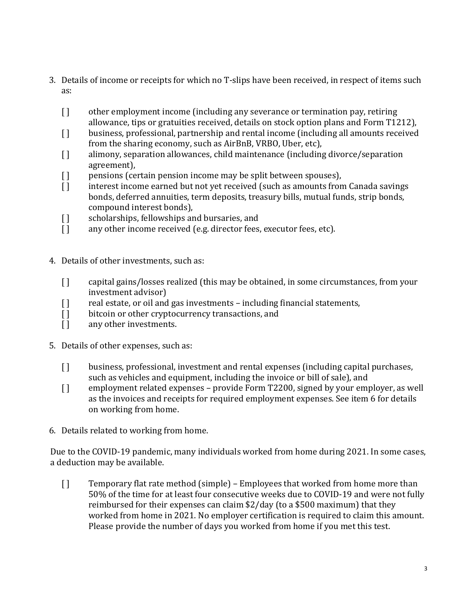- 3. Details of income or receipts for which no T-slips have been received, in respect of items such as:
	- [ ] other employment income (including any severance or termination pay, retiring allowance, tips or gratuities received, details on stock option plans and Form T1212),
	- [ ] business, professional, partnership and rental income (including all amounts received from the sharing economy, such as AirBnB, VRBO, Uber, etc),
	- [ ] alimony, separation allowances, child maintenance (including divorce/separation agreement),
	-
	- [ ] pensions (certain pension income may be split between spouses),<br>[ ] interest income earned but not yet received (such as amounts from interest income earned but not yet received (such as amounts from Canada savings bonds, deferred annuities, term deposits, treasury bills, mutual funds, strip bonds, compound interest bonds),
	- [ ] scholarships, fellowships and bursaries, and<br>
	[ ] any other income received (e.g. director fees,
	- any other income received (e.g. director fees, executor fees, etc).
- 4. Details of other investments, such as:
	- [ ] capital gains/losses realized (this may be obtained, in some circumstances, from your investment advisor)
	- [ ] real estate, or oil and gas investments including financial statements,<br>[ ] bitcoin or other cryptocurrency transactions, and
	- [ ] bitcoin or other cryptocurrency transactions, and <br>[ ] any other investments.
	- any other investments.
- 5. Details of other expenses, such as:
	- [ ] business, professional, investment and rental expenses (including capital purchases, such as vehicles and equipment, including the invoice or bill of sale), and
	- [] employment related expenses provide Form T2200, signed by your employer, as well as the invoices and receipts for required employment expenses. See item 6 for details on working from home.
- 6. Details related to working from home.

Due to the COVID-19 pandemic, many individuals worked from home during 2021. In some cases, a deduction may be available.

[ ] Temporary flat rate method (simple) – Employees that worked from home more than 50% of the time for at least four consecutive weeks due to COVID-19 and were not fully reimbursed for their expenses can claim \$2/day (to a \$500 maximum) that they worked from home in 2021. No employer certification is required to claim this amount. Please provide the number of days you worked from home if you met this test.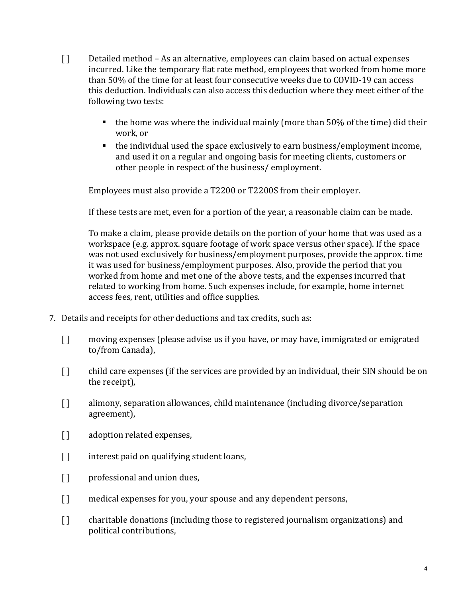- [ ] Detailed method As an alternative, employees can claim based on actual expenses incurred. Like the temporary flat rate method, employees that worked from home more than 50% of the time for at least four consecutive weeks due to COVID-19 can access this deduction. Individuals can also access this deduction where they meet either of the following two tests:
	- the home was where the individual mainly (more than 50% of the time) did their work, or
	- the individual used the space exclusively to earn business/employment income, and used it on a regular and ongoing basis for meeting clients, customers or other people in respect of the business/ employment.

Employees must also provide a T2200 or T2200S from their employer.

If these tests are met, even for a portion of the year, a reasonable claim can be made.

To make a claim, please provide details on the portion of your home that was used as a workspace (e.g. approx. square footage of work space versus other space). If the space was not used exclusively for business/employment purposes, provide the approx. time it was used for business/employment purposes. Also, provide the period that you worked from home and met one of the above tests, and the expenses incurred that related to working from home. Such expenses include, for example, home internet access fees, rent, utilities and office supplies.

- 7. Details and receipts for other deductions and tax credits, such as:
	- [ ] moving expenses (please advise us if you have, or may have, immigrated or emigrated to/from Canada),
	- [ ] child care expenses (if the services are provided by an individual, their SIN should be on the receipt),
	- [ ] alimony, separation allowances, child maintenance (including divorce/separation agreement),
	- [] adoption related expenses,
	- [] interest paid on qualifying student loans,
	- [ ] professional and union dues,
	- [ ] medical expenses for you, your spouse and any dependent persons,
	- [] charitable donations (including those to registered journalism organizations) and political contributions,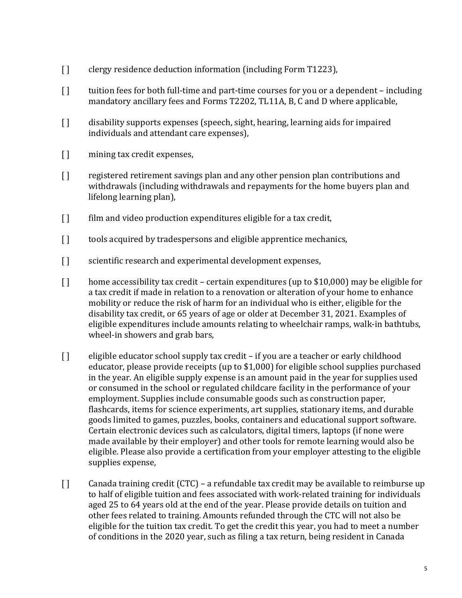- [] clergy residence deduction information (including Form T1223),
- [ ] tuition fees for both full-time and part-time courses for you or a dependent including mandatory ancillary fees and Forms T2202, TL11A, B, C and D where applicable,
- [ ] disability supports expenses (speech, sight, hearing, learning aids for impaired individuals and attendant care expenses),
- [] mining tax credit expenses,
- [ ] registered retirement savings plan and any other pension plan contributions and withdrawals (including withdrawals and repayments for the home buyers plan and lifelong learning plan),
- [ ] film and video production expenditures eligible for a tax credit,
- [] tools acquired by tradespersons and eligible apprentice mechanics,
- [] scientific research and experimental development expenses,
- [ ] home accessibility tax credit certain expenditures (up to \$10,000) may be eligible for a tax credit if made in relation to a renovation or alteration of your home to enhance mobility or reduce the risk of harm for an individual who is either, eligible for the disability tax credit, or 65 years of age or older at December 31, 2021. Examples of eligible expenditures include amounts relating to wheelchair ramps, walk-in bathtubs, wheel-in showers and grab bars,
- [ ] eligible educator school supply tax credit if you are a teacher or early childhood educator, please provide receipts (up to \$1,000) for eligible school supplies purchased in the year. An eligible supply expense is an amount paid in the year for supplies used or consumed in the school or regulated childcare facility in the performance of your employment. Supplies include consumable goods such as construction paper, flashcards, items for science experiments, art supplies, stationary items, and durable goods limited to games, puzzles, books, containers and educational support software. Certain electronic devices such as calculators, digital timers, laptops (if none were made available by their employer) and other tools for remote learning would also be eligible. Please also provide a certification from your employer attesting to the eligible supplies expense,
- [ ] Canada training credit (CTC) a refundable tax credit may be available to reimburse up to half of eligible tuition and fees associated with work-related training for individuals aged 25 to 64 years old at the end of the year. Please provide details on tuition and other fees related to training. Amounts refunded through the CTC will not also be eligible for the tuition tax credit. To get the credit this year, you had to meet a number of conditions in the 2020 year, such as filing a tax return, being resident in Canada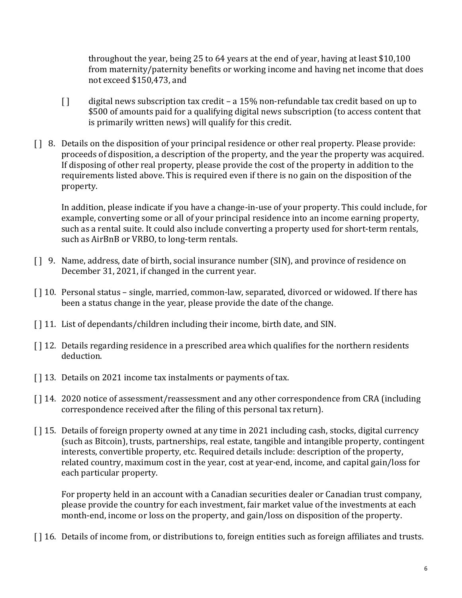throughout the year, being 25 to 64 years at the end of year, having at least \$10,100 from maternity/paternity benefits or working income and having net income that does not exceed \$150,473, and

- [ ] digital news subscription tax credit a 15% non-refundable tax credit based on up to \$500 of amounts paid for a qualifying digital news subscription (to access content that is primarily written news) will qualify for this credit.
- [ ] 8. Details on the disposition of your principal residence or other real property. Please provide: proceeds of disposition, a description of the property, and the year the property was acquired. If disposing of other real property, please provide the cost of the property in addition to the requirements listed above. This is required even if there is no gain on the disposition of the property.

In addition, please indicate if you have a change-in-use of your property. This could include, for example, converting some or all of your principal residence into an income earning property, such as a rental suite. It could also include converting a property used for short-term rentals, such as AirBnB or VRBO, to long-term rentals.

- [ ] 9. Name, address, date of birth, social insurance number (SIN), and province of residence on December 31, 2021, if changed in the current year.
- [ ] 10. Personal status single, married, common-law, separated, divorced or widowed. If there has been a status change in the year, please provide the date of the change.
- [ ] 11. List of dependants/children including their income, birth date, and SIN.
- [ ] 12. Details regarding residence in a prescribed area which qualifies for the northern residents deduction.
- [ ] 13. Details on 2021 income tax instalments or payments of tax.
- [ ] 14. 2020 notice of assessment/reassessment and any other correspondence from CRA (including correspondence received after the filing of this personal tax return).
- [ ] 15. Details of foreign property owned at any time in 2021 including cash, stocks, digital currency (such as Bitcoin), trusts, partnerships, real estate, tangible and intangible property, contingent interests, convertible property, etc. Required details include: description of the property, related country, maximum cost in the year, cost at year-end, income, and capital gain/loss for each particular property.

For property held in an account with a Canadian securities dealer or Canadian trust company, please provide the country for each investment, fair market value of the investments at each month-end, income or loss on the property, and gain/loss on disposition of the property.

[] 16. Details of income from, or distributions to, foreign entities such as foreign affiliates and trusts.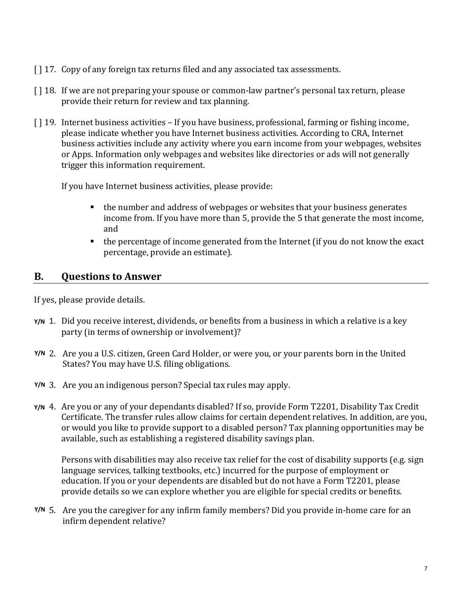- [ ] 17. Copy of any foreign tax returns filed and any associated tax assessments.
- [] 18. If we are not preparing your spouse or common-law partner's personal tax return, please provide their return for review and tax planning.
- [] 19. Internet business activities If you have business, professional, farming or fishing income, please indicate whether you have Internet business activities. According to CRA, Internet business activities include any activity where you earn income from your webpages, websites or Apps. Information only webpages and websites like directories or ads will not generally trigger this information requirement.

If you have Internet business activities, please provide:

- the number and address of webpages or websites that your business generates income from. If you have more than 5, provide the 5 that generate the most income, and
- the percentage of income generated from the Internet (if you do not know the exact percentage, provide an estimate).

## **B. Questions to Answer**

If yes, please provide details.

- **Y/N** 1. Did you receive interest, dividends, or benefits from a business in which a relative is a key party (in terms of ownership or involvement)?
- 2. Are you a U.S. citizen, Green Card Holder, or were you, or your parents born in the United **Y/N** States? You may have U.S. filing obligations.
- 3. Are you an indigenous person? Special tax rules may apply. **Y/N**
- **Y/N** 4. Are you or any of your dependants disabled? If so, provide Form T2201, Disability Tax Credit Certificate. The transfer rules allow claims for certain dependent relatives. In addition, are you, or would you like to provide support to a disabled person? Tax planning opportunities may be available, such as establishing a registered disability savings plan.

Persons with disabilities may also receive tax relief for the cost of disability supports (e.g. sign language services, talking textbooks, etc.) incurred for the purpose of employment or education. If you or your dependents are disabled but do not have a Form T2201, please provide details so we can explore whether you are eligible for special credits or benefits.

5. Are you the caregiver for any infirm family members? Did you provide in-home care for an **Y/N**infirm dependent relative?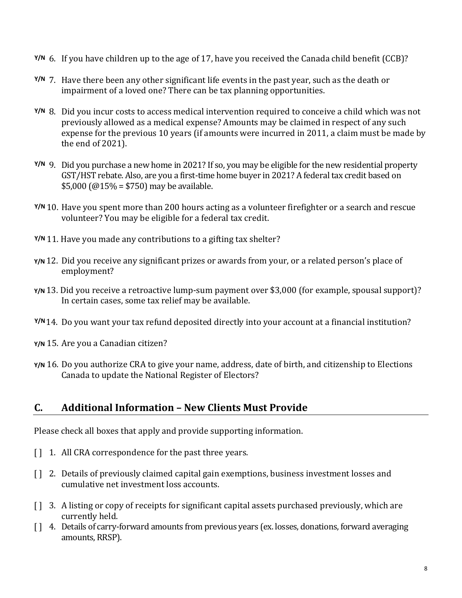- 6. If you have children up to the age of 17, have you received the Canada child benefit (CCB)? **Y/N**
- 7. Have there been any other significant life events in the past year, such as the death or **Y/N** impairment of a loved one? There can be tax planning opportunities.
- 8. Did you incur costs to access medical intervention required to conceive a child which was not **Y/N** previously allowed as a medical expense? Amounts may be claimed in respect of any such expense for the previous 10 years (if amounts were incurred in 2011, a claim must be made by the end of 2021).
- 9. Did you purchase a new home in 2021? If so, you may be eligible for the new residential property **Y/N** GST/HST rebate. Also, are you a first-time home buyer in 2021? A federal tax credit based on \$5,000 ( $@15\% = $750$ ) may be available.
- 10. Have you spent more than 200 hours acting as a volunteer firefighter or a search and rescue **Y/N** volunteer? You may be eligible for a federal tax credit.
- 11. Have you made any contributions to a gifting tax shelter? **Y/N**
- **Y/N** 12. Did you receive any significant prizes or awards from your, or a related person's place of employment?
- **Y/N** 13. Did you receive a retroactive lump-sum payment over \$3,000 (for example, spousal support)? In certain cases, some tax relief may be available.
- 14. Do you want your tax refund deposited directly into your account at a financial institution? **Y/N**
- **Y/N** 15. Are you a Canadian citizen?
- **Y/N** 16. Do you authorize CRA to give your name, address, date of birth, and citizenship to Elections Canada to update the National Register of Electors?

## **C. Additional Information – New Clients Must Provide**

Please check all boxes that apply and provide supporting information.

- [ ] 1. All CRA correspondence for the past three years.
- [ ] 2. Details of previously claimed capital gain exemptions, business investment losses and cumulative net investment loss accounts.
- [ ] 3. A listing or copy of receipts for significant capital assets purchased previously, which are currently held.
- [ ] 4. Details of carry-forward amounts from previous years (ex. losses, donations, forward averaging amounts, RRSP).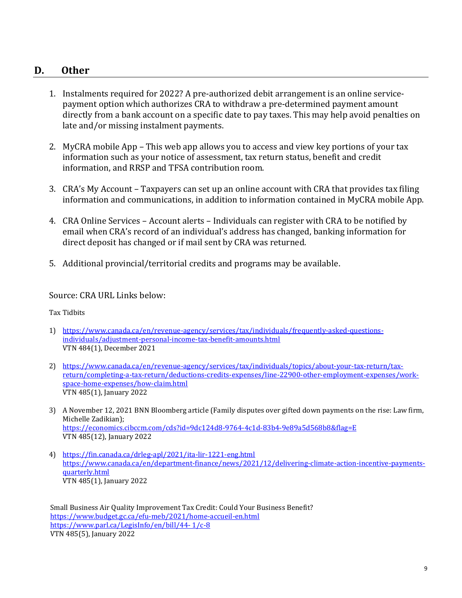#### **D. Other**

- 1. Instalments required for 2022? A pre-authorized debit arrangement is an online servicepayment option which authorizes CRA to withdraw a pre-determined payment amount directly from a bank account on a specific date to pay taxes. This may help avoid penalties on late and/or missing instalment payments.
- 2. MyCRA mobile App This web app allows you to access and view key portions of your tax information such as your notice of assessment, tax return status, benefit and credit information, and RRSP and TFSA contribution room.
- 3. CRA's My Account Taxpayers can set up an online account with CRA that provides tax filing information and communications, in addition to information contained in MyCRA mobile App.
- 4. CRA Online Services Account alerts Individuals can register with CRA to be notified by email when CRA's record of an individual's address has changed, banking information for direct deposit has changed or if mail sent by CRA was returned.
- 5. Additional provincial/territorial credits and programs may be available.

#### Source: CRA URL Links below:

Tax Tidbits

- 1) [https://www.canada.ca/en/revenue-agency/services/tax/individuals/frequently-asked-questions](https://www.canada.ca/en/revenue-agency/services/tax/individuals/frequently-asked-questions-individuals/adjustment-personal-income-tax-benefit-amounts.html)[individuals/adjustment-personal-income-tax-benefit-amounts.html](https://www.canada.ca/en/revenue-agency/services/tax/individuals/frequently-asked-questions-individuals/adjustment-personal-income-tax-benefit-amounts.html) VTN 484(1), December 2021
- 2) [https://www.canada.ca/en/revenue-agency/services/tax/individuals/topics/about-your-tax-return/tax](https://www.canada.ca/en/revenue-agency/services/tax/individuals/topics/about-your-tax-return/tax-return/completing-a-tax-return/deductions-credits-expenses/line-22900-other-employment-expenses/work-space-home-expenses/how-claim.html)[return/completing-a-tax-return/deductions-credits-expenses/line-22900-other-employment-expenses/work](https://www.canada.ca/en/revenue-agency/services/tax/individuals/topics/about-your-tax-return/tax-return/completing-a-tax-return/deductions-credits-expenses/line-22900-other-employment-expenses/work-space-home-expenses/how-claim.html)[space-home-expenses/how-claim.html](https://www.canada.ca/en/revenue-agency/services/tax/individuals/topics/about-your-tax-return/tax-return/completing-a-tax-return/deductions-credits-expenses/line-22900-other-employment-expenses/work-space-home-expenses/how-claim.html) VTN 485(1), January 2022
- 3) A November 12, 2021 BNN Bloomberg article (Family disputes over gifted down payments on the rise: Law firm, Michelle Zadikian); <https://economics.cibccm.com/cds?id=9dc124d8-9764-4c1d-83b4-9e89a5d568b8&flag=E> VTN 485(12), January 2022
- 4) <https://fin.canada.ca/drleg-apl/2021/ita-lir-1221-eng.html> [https://www.canada.ca/en/department-finance/news/2021/12/delivering-climate-action-incentive-payments](https://www.canada.ca/en/department-finance/news/2021/12/delivering-climate-action-incentive-payments-quarterly.html)[quarterly.html](https://www.canada.ca/en/department-finance/news/2021/12/delivering-climate-action-incentive-payments-quarterly.html) VTN 485(1), January 2022

Small Business Air Quality Improvement Tax Credit: Could Your Business Benefit? <https://www.budget.gc.ca/efu-meb/2021/home-accueil-en.html> [https://www.parl.ca/LegisInfo/en/bill/44-](https://www.parl.ca/LegisInfo/en/bill/44-%201/c-8) 1/c-8 VTN 485(5), January 2022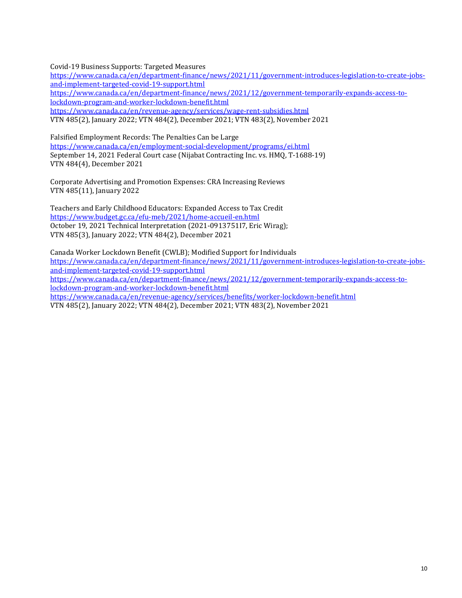Covid-19 Business Supports: Targeted Measures

[https://www.canada.ca/en/department-finance/news/2021/11/government-introduces-legislation-to-create-jobs](https://www.canada.ca/en/department-finance/news/2021/11/government-introduces-legislation-to-create-jobs-and-implement-targeted-covid-19-support.html)[and-implement-targeted-covid-19-support.html](https://www.canada.ca/en/department-finance/news/2021/11/government-introduces-legislation-to-create-jobs-and-implement-targeted-covid-19-support.html) [https://www.canada.ca/en/department-finance/news/2021/12/government-temporarily-expands-access-to](https://www.canada.ca/en/department-finance/news/2021/12/government-temporarily-expands-access-to-lockdown-program-and-worker-lockdown-benefit.html)[lockdown-program-and-worker-lockdown-benefit.html](https://www.canada.ca/en/department-finance/news/2021/12/government-temporarily-expands-access-to-lockdown-program-and-worker-lockdown-benefit.html) <https://www.canada.ca/en/revenue-agency/services/wage-rent-subsidies.html> VTN 485(2), January 2022; VTN 484(2), December 2021; VTN 483(2), November 2021

Falsified Employment Records: The Penalties Can be Large <https://www.canada.ca/en/employment-social-development/programs/ei.html> September 14, 2021 Federal Court case (Nijabat Contracting Inc. vs. HMQ, T-1688-19) VTN 484(4), December 2021

Corporate Advertising and Promotion Expenses: CRA Increasing Reviews VTN 485(11), January 2022

Teachers and Early Childhood Educators: Expanded Access to Tax Credit <https://www.budget.gc.ca/efu-meb/2021/home-accueil-en.html> October 19, 2021 Technical Interpretation (2021-0913751I7, Eric Wirag); VTN 485(3), January 2022; VTN 484(2), December 2021

Canada Worker Lockdown Benefit (CWLB); Modified Support for Individuals [https://www.canada.ca/en/department-finance/news/2021/11/government-introduces-legislation-to-create-jobs](https://www.canada.ca/en/department-finance/news/2021/11/government-introduces-legislation-to-create-jobs-and-implement-targeted-covid-19-support.html)[and-implement-targeted-covid-19-support.html](https://www.canada.ca/en/department-finance/news/2021/11/government-introduces-legislation-to-create-jobs-and-implement-targeted-covid-19-support.html) [https://www.canada.ca/en/department-finance/news/2021/12/government-temporarily-expands-access-to](https://www.canada.ca/en/department-finance/news/2021/12/government-temporarily-expands-access-to-lockdown-program-and-worker-lockdown-benefit.html)[lockdown-program-and-worker-lockdown-benefit.html](https://www.canada.ca/en/department-finance/news/2021/12/government-temporarily-expands-access-to-lockdown-program-and-worker-lockdown-benefit.html) <https://www.canada.ca/en/revenue-agency/services/benefits/worker-lockdown-benefit.html> VTN 485(2), January 2022; VTN 484(2), December 2021; VTN 483(2), November 2021